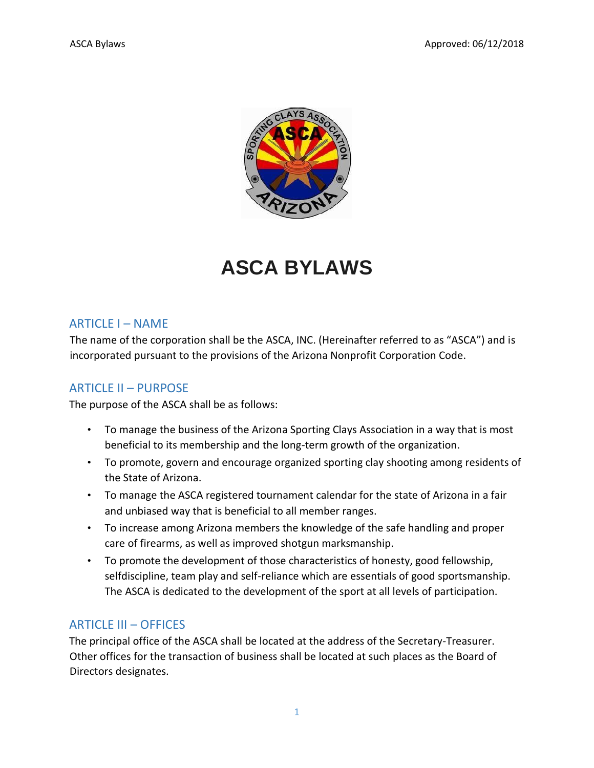

# **ASCA BYLAWS**

#### ARTICLE I – NAME

The name of the corporation shall be the ASCA, INC. (Hereinafter referred to as "ASCA") and is incorporated pursuant to the provisions of the Arizona Nonprofit Corporation Code.

## ARTICLE II – PURPOSE

The purpose of the ASCA shall be as follows:

- To manage the business of the Arizona Sporting Clays Association in a way that is most beneficial to its membership and the long-term growth of the organization.
- To promote, govern and encourage organized sporting clay shooting among residents of the State of Arizona.
- To manage the ASCA registered tournament calendar for the state of Arizona in a fair and unbiased way that is beneficial to all member ranges.
- To increase among Arizona members the knowledge of the safe handling and proper care of firearms, as well as improved shotgun marksmanship.
- To promote the development of those characteristics of honesty, good fellowship, selfdiscipline, team play and self-reliance which are essentials of good sportsmanship. The ASCA is dedicated to the development of the sport at all levels of participation.

#### ARTICLE III – OFFICES

The principal office of the ASCA shall be located at the address of the Secretary-Treasurer. Other offices for the transaction of business shall be located at such places as the Board of Directors designates.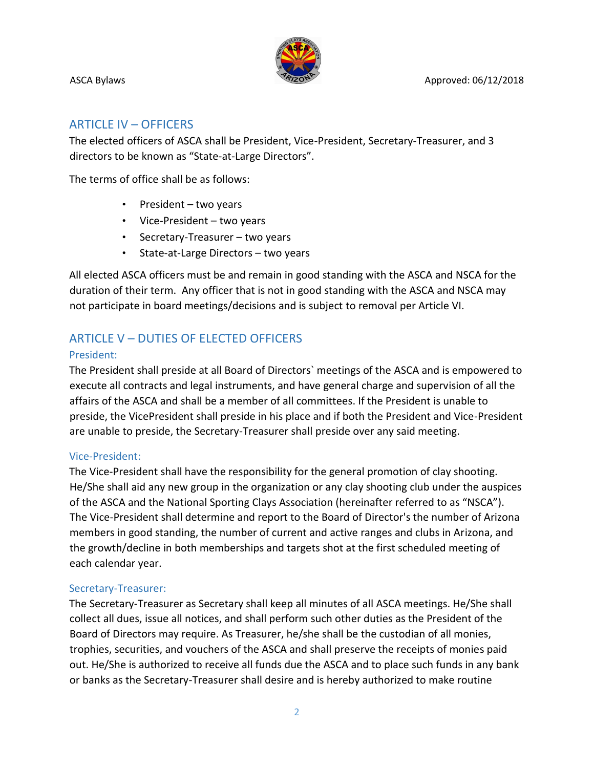

#### ARTICLE IV – OFFICERS

The elected officers of ASCA shall be President, Vice-President, Secretary-Treasurer, and 3 directors to be known as "State-at-Large Directors".

The terms of office shall be as follows:

- President two years
- Vice-President two years
- Secretary-Treasurer two years
- State-at-Large Directors two years

All elected ASCA officers must be and remain in good standing with the ASCA and NSCA for the duration of their term. Any officer that is not in good standing with the ASCA and NSCA may not participate in board meetings/decisions and is subject to removal per Article VI.

# ARTICLE V – DUTIES OF ELECTED OFFICERS

#### President:

The President shall preside at all Board of Directors` meetings of the ASCA and is empowered to execute all contracts and legal instruments, and have general charge and supervision of all the affairs of the ASCA and shall be a member of all committees. If the President is unable to preside, the VicePresident shall preside in his place and if both the President and Vice-President are unable to preside, the Secretary-Treasurer shall preside over any said meeting.

#### Vice-President:

The Vice-President shall have the responsibility for the general promotion of clay shooting. He/She shall aid any new group in the organization or any clay shooting club under the auspices of the ASCA and the National Sporting Clays Association (hereinafter referred to as "NSCA"). The Vice-President shall determine and report to the Board of Director's the number of Arizona members in good standing, the number of current and active ranges and clubs in Arizona, and the growth/decline in both memberships and targets shot at the first scheduled meeting of each calendar year.

#### Secretary-Treasurer:

The Secretary-Treasurer as Secretary shall keep all minutes of all ASCA meetings. He/She shall collect all dues, issue all notices, and shall perform such other duties as the President of the Board of Directors may require. As Treasurer, he/she shall be the custodian of all monies, trophies, securities, and vouchers of the ASCA and shall preserve the receipts of monies paid out. He/She is authorized to receive all funds due the ASCA and to place such funds in any bank or banks as the Secretary-Treasurer shall desire and is hereby authorized to make routine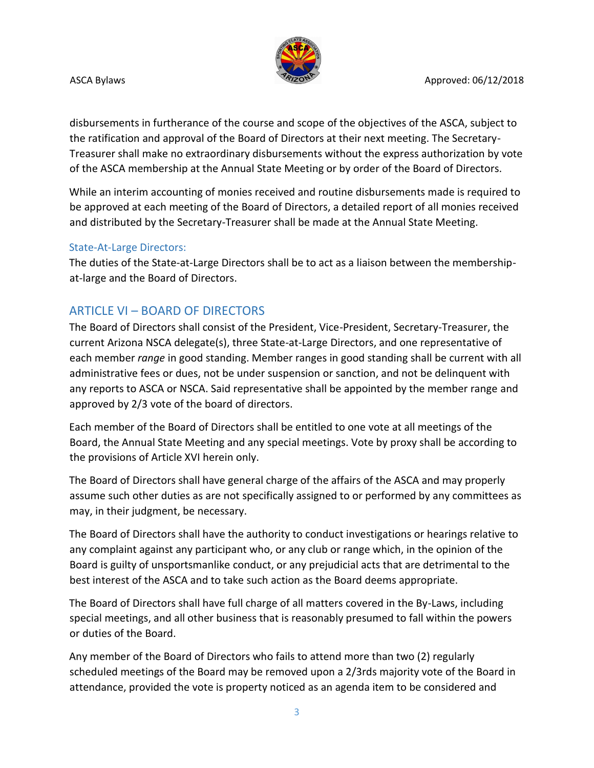

disbursements in furtherance of the course and scope of the objectives of the ASCA, subject to the ratification and approval of the Board of Directors at their next meeting. The Secretary-Treasurer shall make no extraordinary disbursements without the express authorization by vote of the ASCA membership at the Annual State Meeting or by order of the Board of Directors.

While an interim accounting of monies received and routine disbursements made is required to be approved at each meeting of the Board of Directors, a detailed report of all monies received and distributed by the Secretary-Treasurer shall be made at the Annual State Meeting.

#### State-At-Large Directors:

The duties of the State-at-Large Directors shall be to act as a liaison between the membershipat-large and the Board of Directors.

# ARTICLE VI – BOARD OF DIRECTORS

The Board of Directors shall consist of the President, Vice-President, Secretary-Treasurer, the current Arizona NSCA delegate(s), three State-at-Large Directors, and one representative of each member *range* in good standing. Member ranges in good standing shall be current with all administrative fees or dues, not be under suspension or sanction, and not be delinquent with any reports to ASCA or NSCA. Said representative shall be appointed by the member range and approved by 2/3 vote of the board of directors.

Each member of the Board of Directors shall be entitled to one vote at all meetings of the Board, the Annual State Meeting and any special meetings. Vote by proxy shall be according to the provisions of Article XVI herein only.

The Board of Directors shall have general charge of the affairs of the ASCA and may properly assume such other duties as are not specifically assigned to or performed by any committees as may, in their judgment, be necessary.

The Board of Directors shall have the authority to conduct investigations or hearings relative to any complaint against any participant who, or any club or range which, in the opinion of the Board is guilty of unsportsmanlike conduct, or any prejudicial acts that are detrimental to the best interest of the ASCA and to take such action as the Board deems appropriate.

The Board of Directors shall have full charge of all matters covered in the By-Laws, including special meetings, and all other business that is reasonably presumed to fall within the powers or duties of the Board.

Any member of the Board of Directors who fails to attend more than two (2) regularly scheduled meetings of the Board may be removed upon a 2/3rds majority vote of the Board in attendance, provided the vote is property noticed as an agenda item to be considered and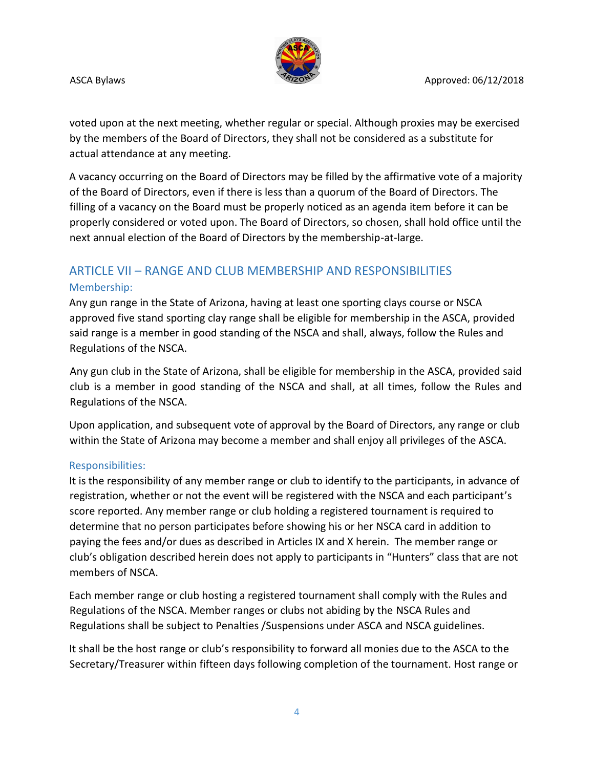

voted upon at the next meeting, whether regular or special. Although proxies may be exercised by the members of the Board of Directors, they shall not be considered as a substitute for actual attendance at any meeting.

A vacancy occurring on the Board of Directors may be filled by the affirmative vote of a majority of the Board of Directors, even if there is less than a quorum of the Board of Directors. The filling of a vacancy on the Board must be properly noticed as an agenda item before it can be properly considered or voted upon. The Board of Directors, so chosen, shall hold office until the next annual election of the Board of Directors by the membership-at-large.

# ARTICLE VII – RANGE AND CLUB MEMBERSHIP AND RESPONSIBILITIES Membership:

Any gun range in the State of Arizona, having at least one sporting clays course or NSCA approved five stand sporting clay range shall be eligible for membership in the ASCA, provided said range is a member in good standing of the NSCA and shall, always, follow the Rules and Regulations of the NSCA.

Any gun club in the State of Arizona, shall be eligible for membership in the ASCA, provided said club is a member in good standing of the NSCA and shall, at all times, follow the Rules and Regulations of the NSCA.

Upon application, and subsequent vote of approval by the Board of Directors, any range or club within the State of Arizona may become a member and shall enjoy all privileges of the ASCA.

#### Responsibilities:

It is the responsibility of any member range or club to identify to the participants, in advance of registration, whether or not the event will be registered with the NSCA and each participant's score reported. Any member range or club holding a registered tournament is required to determine that no person participates before showing his or her NSCA card in addition to paying the fees and/or dues as described in Articles IX and X herein. The member range or club's obligation described herein does not apply to participants in "Hunters" class that are not members of NSCA.

Each member range or club hosting a registered tournament shall comply with the Rules and Regulations of the NSCA. Member ranges or clubs not abiding by the NSCA Rules and Regulations shall be subject to Penalties /Suspensions under ASCA and NSCA guidelines.

It shall be the host range or club's responsibility to forward all monies due to the ASCA to the Secretary/Treasurer within fifteen days following completion of the tournament. Host range or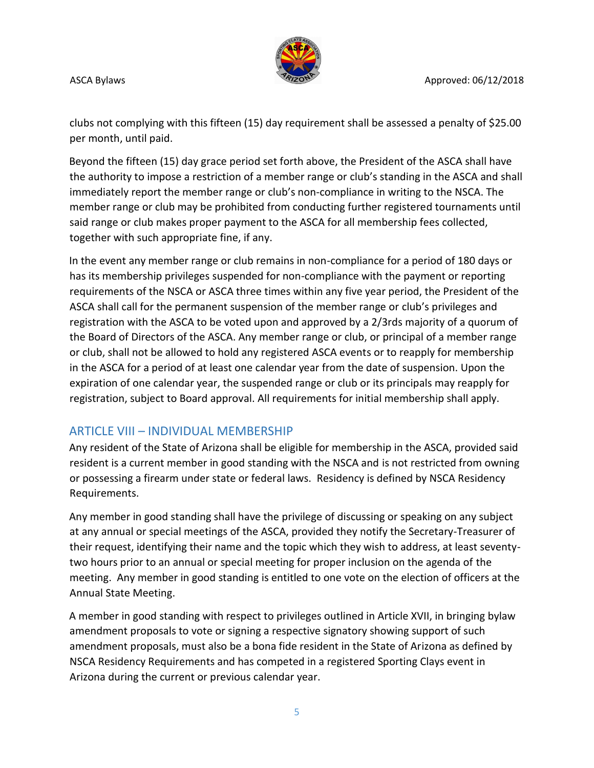

clubs not complying with this fifteen (15) day requirement shall be assessed a penalty of \$25.00 per month, until paid.

Beyond the fifteen (15) day grace period set forth above, the President of the ASCA shall have the authority to impose a restriction of a member range or club's standing in the ASCA and shall immediately report the member range or club's non-compliance in writing to the NSCA. The member range or club may be prohibited from conducting further registered tournaments until said range or club makes proper payment to the ASCA for all membership fees collected, together with such appropriate fine, if any.

In the event any member range or club remains in non-compliance for a period of 180 days or has its membership privileges suspended for non-compliance with the payment or reporting requirements of the NSCA or ASCA three times within any five year period, the President of the ASCA shall call for the permanent suspension of the member range or club's privileges and registration with the ASCA to be voted upon and approved by a 2/3rds majority of a quorum of the Board of Directors of the ASCA. Any member range or club, or principal of a member range or club, shall not be allowed to hold any registered ASCA events or to reapply for membership in the ASCA for a period of at least one calendar year from the date of suspension. Upon the expiration of one calendar year, the suspended range or club or its principals may reapply for registration, subject to Board approval. All requirements for initial membership shall apply.

## ARTICLE VIII – INDIVIDUAL MEMBERSHIP

Any resident of the State of Arizona shall be eligible for membership in the ASCA, provided said resident is a current member in good standing with the NSCA and is not restricted from owning or possessing a firearm under state or federal laws. Residency is defined by NSCA Residency Requirements.

Any member in good standing shall have the privilege of discussing or speaking on any subject at any annual or special meetings of the ASCA, provided they notify the Secretary-Treasurer of their request, identifying their name and the topic which they wish to address, at least seventytwo hours prior to an annual or special meeting for proper inclusion on the agenda of the meeting. Any member in good standing is entitled to one vote on the election of officers at the Annual State Meeting.

A member in good standing with respect to privileges outlined in Article XVII, in bringing bylaw amendment proposals to vote or signing a respective signatory showing support of such amendment proposals, must also be a bona fide resident in the State of Arizona as defined by NSCA Residency Requirements and has competed in a registered Sporting Clays event in Arizona during the current or previous calendar year.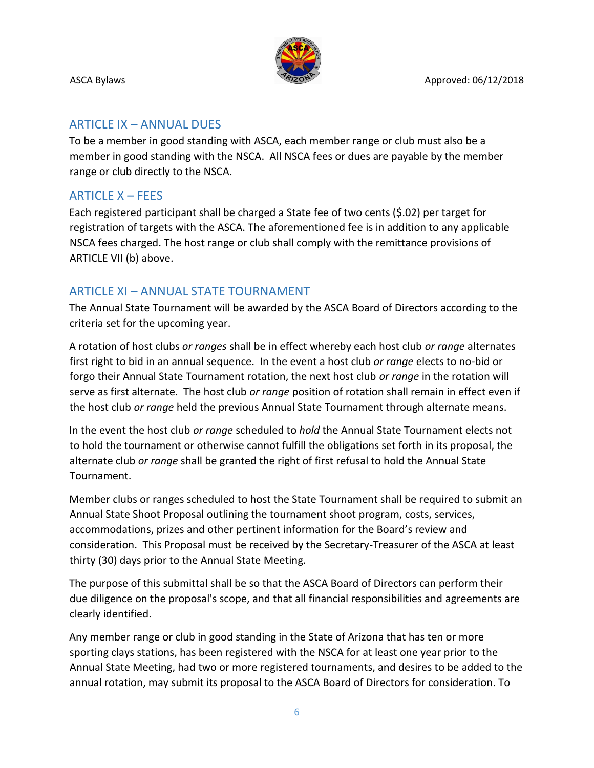

# ARTICLE IX – ANNUAL DUES

To be a member in good standing with ASCA, each member range or club must also be a member in good standing with the NSCA. All NSCA fees or dues are payable by the member range or club directly to the NSCA.

# ARTICLE X – FEES

Each registered participant shall be charged a State fee of two cents (\$.02) per target for registration of targets with the ASCA. The aforementioned fee is in addition to any applicable NSCA fees charged. The host range or club shall comply with the remittance provisions of ARTICLE VII (b) above.

# ARTICLE XI – ANNUAL STATE TOURNAMENT

The Annual State Tournament will be awarded by the ASCA Board of Directors according to the criteria set for the upcoming year.

A rotation of host clubs *or ranges* shall be in effect whereby each host club *or range* alternates first right to bid in an annual sequence. In the event a host club *or range* elects to no-bid or forgo their Annual State Tournament rotation, the next host club *or range* in the rotation will serve as first alternate. The host club *or range* position of rotation shall remain in effect even if the host club *or range* held the previous Annual State Tournament through alternate means.

In the event the host club *or range* scheduled to *hold* the Annual State Tournament elects not to hold the tournament or otherwise cannot fulfill the obligations set forth in its proposal, the alternate club *or range* shall be granted the right of first refusal to hold the Annual State Tournament.

Member clubs or ranges scheduled to host the State Tournament shall be required to submit an Annual State Shoot Proposal outlining the tournament shoot program, costs, services, accommodations, prizes and other pertinent information for the Board's review and consideration. This Proposal must be received by the Secretary-Treasurer of the ASCA at least thirty (30) days prior to the Annual State Meeting.

The purpose of this submittal shall be so that the ASCA Board of Directors can perform their due diligence on the proposal's scope, and that all financial responsibilities and agreements are clearly identified.

Any member range or club in good standing in the State of Arizona that has ten or more sporting clays stations, has been registered with the NSCA for at least one year prior to the Annual State Meeting, had two or more registered tournaments, and desires to be added to the annual rotation, may submit its proposal to the ASCA Board of Directors for consideration. To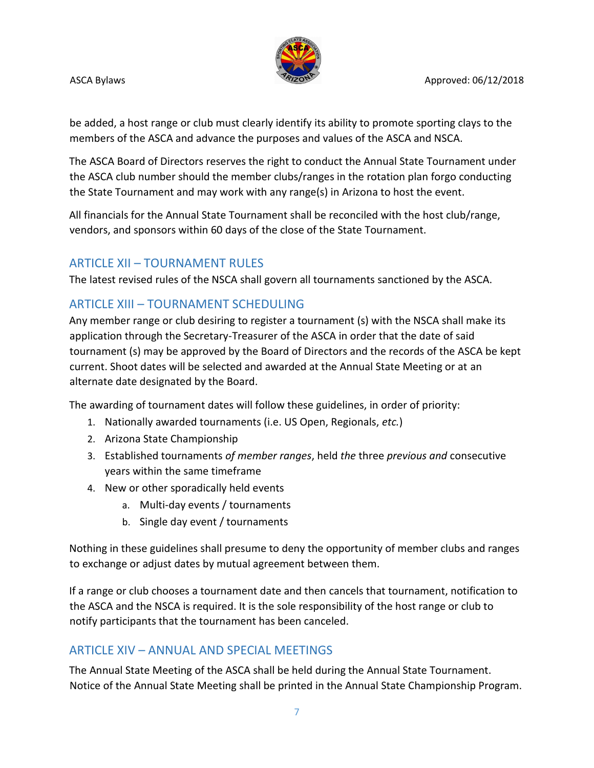

be added, a host range or club must clearly identify its ability to promote sporting clays to the members of the ASCA and advance the purposes and values of the ASCA and NSCA.

The ASCA Board of Directors reserves the right to conduct the Annual State Tournament under the ASCA club number should the member clubs/ranges in the rotation plan forgo conducting the State Tournament and may work with any range(s) in Arizona to host the event.

All financials for the Annual State Tournament shall be reconciled with the host club/range, vendors, and sponsors within 60 days of the close of the State Tournament.

# ARTICLE XII – TOURNAMENT RULES

The latest revised rules of the NSCA shall govern all tournaments sanctioned by the ASCA.

# ARTICLE XIII – TOURNAMENT SCHEDULING

Any member range or club desiring to register a tournament (s) with the NSCA shall make its application through the Secretary-Treasurer of the ASCA in order that the date of said tournament (s) may be approved by the Board of Directors and the records of the ASCA be kept current. Shoot dates will be selected and awarded at the Annual State Meeting or at an alternate date designated by the Board.

The awarding of tournament dates will follow these guidelines, in order of priority:

- 1. Nationally awarded tournaments (i.e. US Open, Regionals, *etc.*)
- 2. Arizona State Championship
- 3. Established tournaments *of member ranges*, held *the* three *previous and* consecutive years within the same timeframe
- 4. New or other sporadically held events
	- a. Multi-day events / tournaments
	- b. Single day event / tournaments

Nothing in these guidelines shall presume to deny the opportunity of member clubs and ranges to exchange or adjust dates by mutual agreement between them.

If a range or club chooses a tournament date and then cancels that tournament, notification to the ASCA and the NSCA is required. It is the sole responsibility of the host range or club to notify participants that the tournament has been canceled.

# ARTICLE XIV – ANNUAL AND SPECIAL MEETINGS

The Annual State Meeting of the ASCA shall be held during the Annual State Tournament. Notice of the Annual State Meeting shall be printed in the Annual State Championship Program.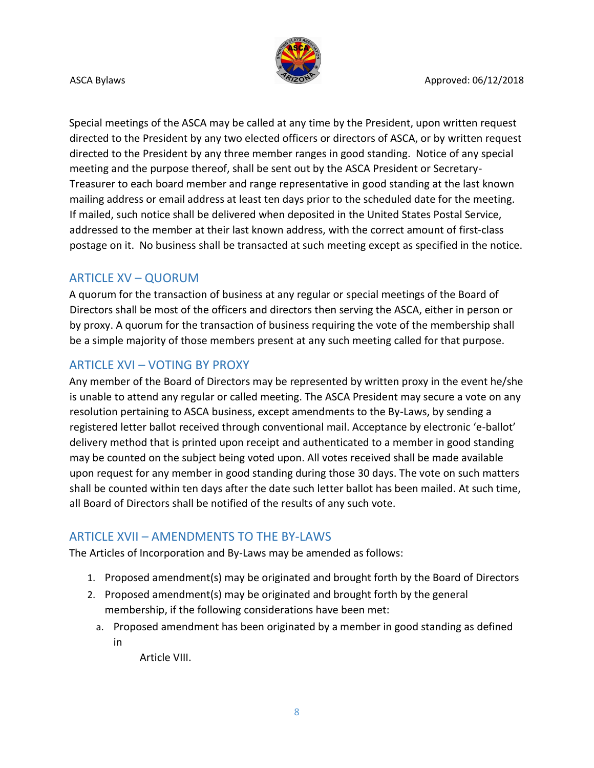

Special meetings of the ASCA may be called at any time by the President, upon written request directed to the President by any two elected officers or directors of ASCA, or by written request directed to the President by any three member ranges in good standing. Notice of any special meeting and the purpose thereof, shall be sent out by the ASCA President or Secretary-Treasurer to each board member and range representative in good standing at the last known mailing address or email address at least ten days prior to the scheduled date for the meeting. If mailed, such notice shall be delivered when deposited in the United States Postal Service, addressed to the member at their last known address, with the correct amount of first-class postage on it. No business shall be transacted at such meeting except as specified in the notice.

# ARTICLE XV – QUORUM

A quorum for the transaction of business at any regular or special meetings of the Board of Directors shall be most of the officers and directors then serving the ASCA, either in person or by proxy. A quorum for the transaction of business requiring the vote of the membership shall be a simple majority of those members present at any such meeting called for that purpose.

# ARTICLE XVI – VOTING BY PROXY

Any member of the Board of Directors may be represented by written proxy in the event he/she is unable to attend any regular or called meeting. The ASCA President may secure a vote on any resolution pertaining to ASCA business, except amendments to the By-Laws, by sending a registered letter ballot received through conventional mail. Acceptance by electronic 'e-ballot' delivery method that is printed upon receipt and authenticated to a member in good standing may be counted on the subject being voted upon. All votes received shall be made available upon request for any member in good standing during those 30 days. The vote on such matters shall be counted within ten days after the date such letter ballot has been mailed. At such time, all Board of Directors shall be notified of the results of any such vote.

## ARTICLE XVII – AMENDMENTS TO THE BY-LAWS

The Articles of Incorporation and By-Laws may be amended as follows:

- 1. Proposed amendment(s) may be originated and brought forth by the Board of Directors
- 2. Proposed amendment(s) may be originated and brought forth by the general membership, if the following considerations have been met:
	- a. Proposed amendment has been originated by a member in good standing as defined in

Article VIII.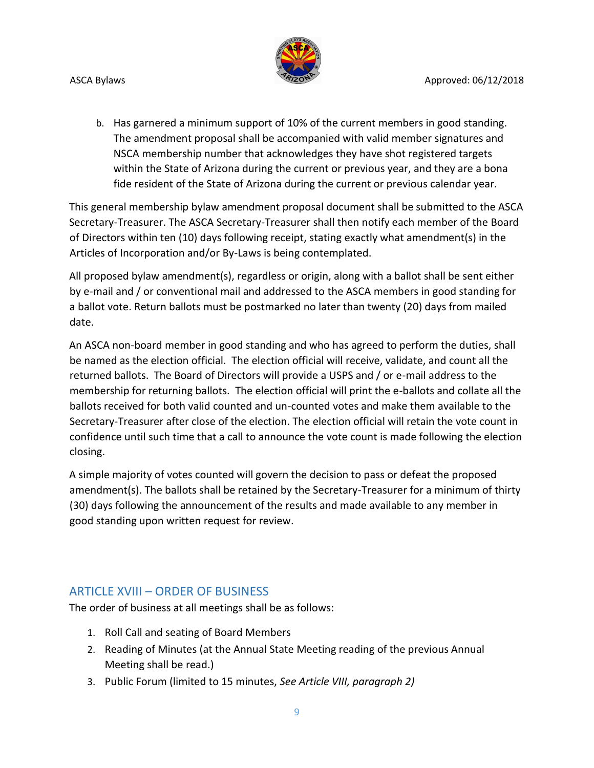

b. Has garnered a minimum support of 10% of the current members in good standing. The amendment proposal shall be accompanied with valid member signatures and NSCA membership number that acknowledges they have shot registered targets within the State of Arizona during the current or previous year, and they are a bona fide resident of the State of Arizona during the current or previous calendar year.

This general membership bylaw amendment proposal document shall be submitted to the ASCA Secretary-Treasurer. The ASCA Secretary-Treasurer shall then notify each member of the Board of Directors within ten (10) days following receipt, stating exactly what amendment(s) in the Articles of Incorporation and/or By-Laws is being contemplated.

All proposed bylaw amendment(s), regardless or origin, along with a ballot shall be sent either by e-mail and / or conventional mail and addressed to the ASCA members in good standing for a ballot vote. Return ballots must be postmarked no later than twenty (20) days from mailed date.

An ASCA non-board member in good standing and who has agreed to perform the duties, shall be named as the election official. The election official will receive, validate, and count all the returned ballots. The Board of Directors will provide a USPS and / or e-mail address to the membership for returning ballots. The election official will print the e-ballots and collate all the ballots received for both valid counted and un-counted votes and make them available to the Secretary-Treasurer after close of the election. The election official will retain the vote count in confidence until such time that a call to announce the vote count is made following the election closing.

A simple majority of votes counted will govern the decision to pass or defeat the proposed amendment(s). The ballots shall be retained by the Secretary-Treasurer for a minimum of thirty (30) days following the announcement of the results and made available to any member in good standing upon written request for review.

# ARTICLE XVIII – ORDER OF BUSINESS

The order of business at all meetings shall be as follows:

- 1. Roll Call and seating of Board Members
- 2. Reading of Minutes (at the Annual State Meeting reading of the previous Annual Meeting shall be read.)
- 3. Public Forum (limited to 15 minutes, *See Article VIII, paragraph 2)*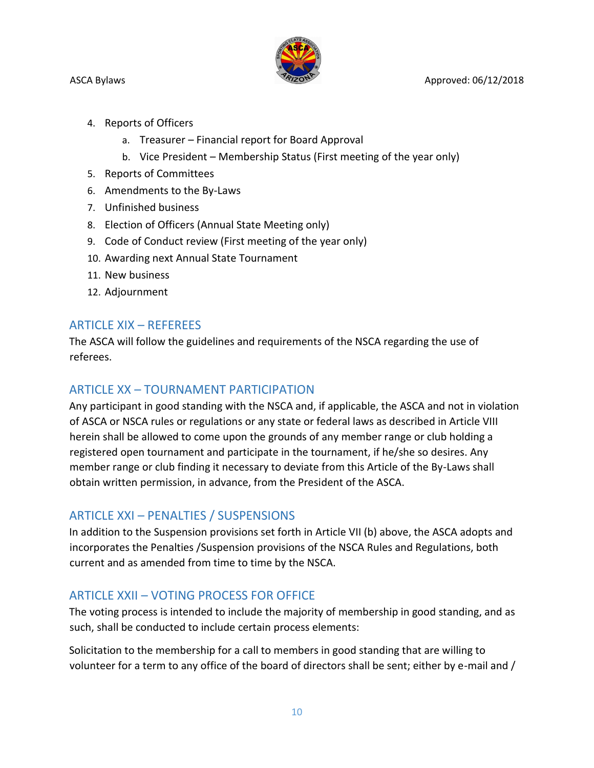

ASCA Bylaws **Approved: 06/12/2018** Approved: 06/12/2018

- 4. Reports of Officers
	- a. Treasurer Financial report for Board Approval
	- b. Vice President Membership Status (First meeting of the year only)
- 5. Reports of Committees
- 6. Amendments to the By-Laws
- 7. Unfinished business
- 8. Election of Officers (Annual State Meeting only)
- 9. Code of Conduct review (First meeting of the year only)
- 10. Awarding next Annual State Tournament
- 11. New business
- 12. Adjournment

## ARTICLE XIX – REFEREES

The ASCA will follow the guidelines and requirements of the NSCA regarding the use of referees.

## ARTICLE XX – TOURNAMENT PARTICIPATION

Any participant in good standing with the NSCA and, if applicable, the ASCA and not in violation of ASCA or NSCA rules or regulations or any state or federal laws as described in Article VIII herein shall be allowed to come upon the grounds of any member range or club holding a registered open tournament and participate in the tournament, if he/she so desires. Any member range or club finding it necessary to deviate from this Article of the By-Laws shall obtain written permission, in advance, from the President of the ASCA.

## ARTICLE XXI – PENALTIES / SUSPENSIONS

In addition to the Suspension provisions set forth in Article VII (b) above, the ASCA adopts and incorporates the Penalties /Suspension provisions of the NSCA Rules and Regulations, both current and as amended from time to time by the NSCA.

# ARTICLE XXII – VOTING PROCESS FOR OFFICE

The voting process is intended to include the majority of membership in good standing, and as such, shall be conducted to include certain process elements:

Solicitation to the membership for a call to members in good standing that are willing to volunteer for a term to any office of the board of directors shall be sent; either by e-mail and /